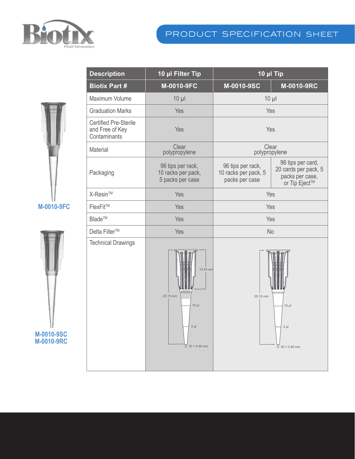

## product specification sheet



**M-0010-9FC**



| <b>Description</b>                                              | 10 µl Filter Tip                                                                    | 10 µl Tip                                                   |                                                                               |
|-----------------------------------------------------------------|-------------------------------------------------------------------------------------|-------------------------------------------------------------|-------------------------------------------------------------------------------|
| <b>Biotix Part #</b>                                            | M-0010-9FC                                                                          | M-0010-9SC                                                  | M-0010-9RC                                                                    |
| Maximum Volume                                                  | $10 \mu$                                                                            | $10 \mu$                                                    |                                                                               |
| <b>Graduation Marks</b>                                         | Yes                                                                                 | Yes                                                         |                                                                               |
| <b>Certified Pre-Sterile</b><br>and Free of Key<br>Contaminants | Yes                                                                                 | Yes                                                         |                                                                               |
| Material                                                        | Clear<br>polypropylene                                                              | Clear<br>polypropylene                                      |                                                                               |
| Packaging                                                       | 96 tips per rack,<br>10 racks per pack,<br>5 packs per case                         | 96 tips per rack,<br>10 racks per pack, 5<br>packs per case | 96 tips per card,<br>20 cards per pack, 5<br>packs per case,<br>or Tip Eject™ |
| X-Resin™                                                        | Yes                                                                                 | Yes                                                         |                                                                               |
| FlexFit™                                                        | Yes                                                                                 | Yes                                                         |                                                                               |
| Blade™                                                          | Yes                                                                                 | Yes                                                         |                                                                               |
| Delta Filter™                                                   | Yes                                                                                 | <b>No</b>                                                   |                                                                               |
| <b>Technical Drawings</b>                                       | 10.54 mm<br>25.15 mm<br>$10 \mu$<br>$2 \mu$<br>$\overline{ \parallel}$ ID = 0.46 mm | 25.15 mm                                                    | $10 \mu$<br>$2 \mu$<br>$\vert \vert$ ID = 0.46 mm                             |